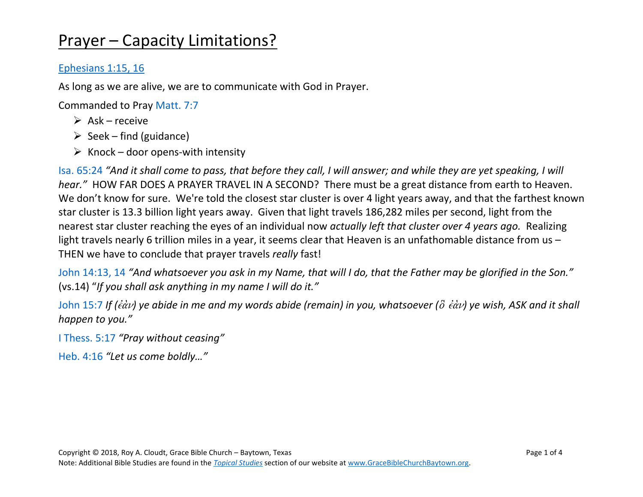# Prayer – Capacity Limitations?

#### [Ephesians 1:15, 16](https://www.biblegateway.com/passage/?search=Ephesians+1%3A15-16&version=NASB)

As long as we are alive, we are to communicate with God in Prayer.

Commanded to Pray [Matt.](https://www.biblegateway.com/passage/?search=Matt.7%3A7&version=NASB) 7:7

- $\triangleright$  Ask receive
- $\triangleright$  Seek find (guidance)
- $\triangleright$  Knock door opens-with intensity

Isa. [65:24](https://www.biblegateway.com/passage/?search=Isa.+65%3A24&version=NASB) *"And it shall come to pass, that before they call, I will answer; and while they are yet speaking, I will hear."* HOW FAR DOES A PRAYER TRAVEL IN A SECOND? There must be a great distance from earth to Heaven. We don't know for sure. We're told the closest star cluster is over 4 light years away, and that the farthest known star cluster is 13.3 billion light years away. Given that light travels 186,282 miles per second, light from the nearest star cluster reaching the eyes of an individual now *actually left that cluster over 4 years ago.* Realizing light travels nearly 6 trillion miles in a year, it seems clear that Heaven is an unfathomable distance from us – THEN we have to conclude that prayer travels *really* fast!

[John 14:13, 14](https://www.biblegateway.com/passage/?search=John+14%3A13+-+14&version=NASB) *"And whatsoever you ask in my Name, that will I do, that the Father may be glorified in the Son."* (vs.14) "*If you shall ask anything in my name I will do it."*

[John 15:7](https://www.biblegateway.com/passage/?search=John+15%3A7&version=NASB) If ( $\epsilon d\nu$ ) ye abide in me and my words abide (remain) in you, whatsoever ( $\delta$   $\epsilon d\nu$ ) ye wish, ASK and it shall *happen to you."*

[I Thess.](https://www.biblegateway.com/passage/?search=I+Thess.+5%3A17+&version=NASB) 5:17 *"Pray without ceasing"*

[Heb.](https://www.biblegateway.com/passage/?search=Heb.+4%3A16&version=NASB) 4:16 *"Let us come boldly…"*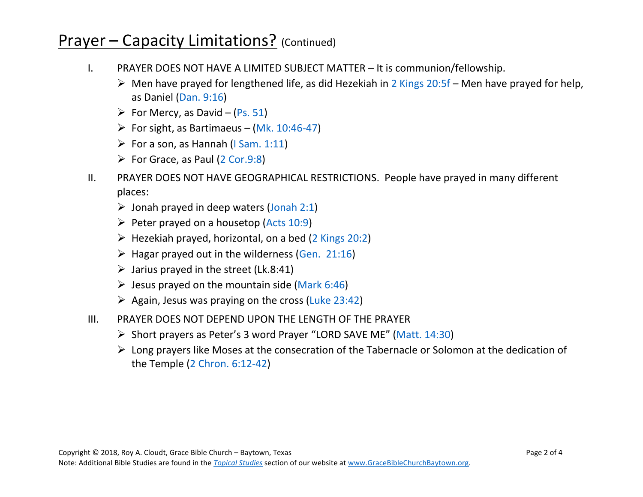### Prayer – Capacity Limitations? (Continued)

- I. PRAYER DOES NOT HAVE A LIMITED SUBJECT MATTER It is communion/fellowship.
	- $\triangleright$  Men have prayed for lengthened life, as did Hezekiah in [2 Kings 20:5f](https://www.biblegateway.com/passage/?search=2+Kings+20%3A5-11&version=NASB) Men have prayed for help, as Daniel [\(Dan.](https://www.biblegateway.com/passage/?search=Dan.9%3A16&version=NASB) 9:16)
	- $\triangleright$  For Mercy, as David [\(Ps.](https://www.biblegateway.com/passage/?search=Ps.51&version=NASB) 51)
	- $\triangleright$  For sight, as Bartimaeus (Mk. [10:46-47\)](https://www.biblegateway.com/passage/?search=Mk.10%3A46-47&version=NASB)
	- $\triangleright$  For a son, as Hannah (I [Sam. 1:11\)](https://www.biblegateway.com/passage/?search=ISam1%3A11&version=NASB)
	- $\triangleright$  For Grace, as Paul (2 [Cor.9:8\)](https://www.biblegateway.com/passage/?search=2+Cor.9%3A8&version=NASB)
- II. PRAYER DOES NOT HAVE GEOGRAPHICAL RESTRICTIONS. People have prayed in many different places:
	- $\triangleright$  Jonah prayed in deep waters [\(Jonah 2:1\)](https://www.biblegateway.com/passage/?search=Jonah+2%3A1&version=NASB)
	- $\triangleright$  Peter prayed on a housetop [\(Acts 10:9\)](https://www.biblegateway.com/passage/?search=Acts+10%3A9&version=NASB)
	- $\triangleright$  Hezekiah prayed, horizontal, on a bed [\(2 Kings](https://www.biblegateway.com/passage/?search=2+Kings+20%3A2&version=NASB) 20:2)
	- $\triangleright$  Hagar prayed out in the wilderness (Gen. [21:16\)](https://www.biblegateway.com/passage/?search=Gen.+21%3A16&version=NASB)
	- $\triangleright$  Jarius prayed in the street (Lk.8:41)
	- $\triangleright$  Jesus prayed on the mountain side [\(Mark](https://www.biblegateway.com/passage/?search=Mark+6%3A46&version=NASB) 6:46)
	- $\triangleright$  Again, Jesus was praying on the cross (Luke [23:42\)](https://www.biblegateway.com/passage/?search=Luke+23%3A42&version=NASB)
- III. PRAYER DOES NOT DEPEND UPON THE LENGTH OF THE PRAYER
	- ➢ Short prayers as Peter's 3 word Prayer "LORD SAVE ME" (Matt. [14:30\)](https://www.biblegateway.com/passage/?search=Matt.+14%3A30&version=NASB)
	- ➢ Long prayers like Moses at the consecration of the Tabernacle or Solomon at the dedication of the Temple [\(2 Chron.](https://www.biblegateway.com/passage/?search=2+Chron.+6%3A12-42&version=NASB) 6:12-42)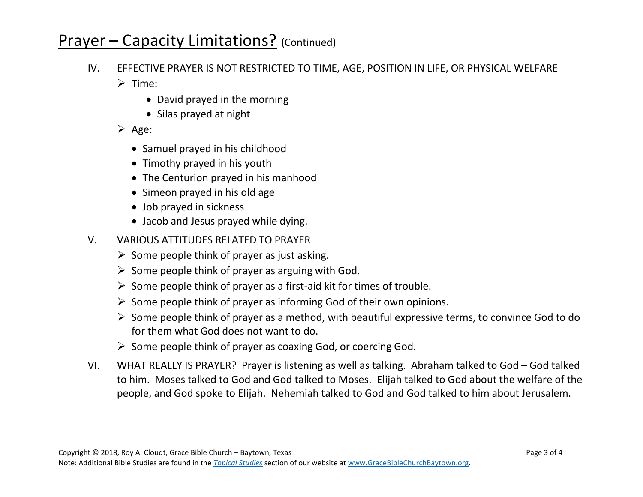# Prayer – Capacity Limitations? (Continued)

- IV. EFFECTIVE PRAYER IS NOT RESTRICTED TO TIME, AGE, POSITION IN LIFE, OR PHYSICAL WELFARE ➢ Time:
	- David prayed in the morning
	- Silas prayed at night
	- ➢ Age:
		- Samuel prayed in his childhood
		- Timothy prayed in his youth
		- The Centurion prayed in his manhood
		- Simeon prayed in his old age
		- Job prayed in sickness
		- Jacob and Jesus prayed while dying.
- V. VARIOUS ATTITUDES RELATED TO PRAYER
	- $\triangleright$  Some people think of prayer as just asking.
	- $\triangleright$  Some people think of prayer as arguing with God.
	- $\triangleright$  Some people think of prayer as a first-aid kit for times of trouble.
	- $\triangleright$  Some people think of prayer as informing God of their own opinions.
	- $\triangleright$  Some people think of prayer as a method, with beautiful expressive terms, to convince God to do for them what God does not want to do.
	- $\triangleright$  Some people think of prayer as coaxing God, or coercing God.
- VI. WHAT REALLY IS PRAYER? Prayer is listening as well as talking. Abraham talked to God God talked to him. Moses talked to God and God talked to Moses. Elijah talked to God about the welfare of the people, and God spoke to Elijah. Nehemiah talked to God and God talked to him about Jerusalem.